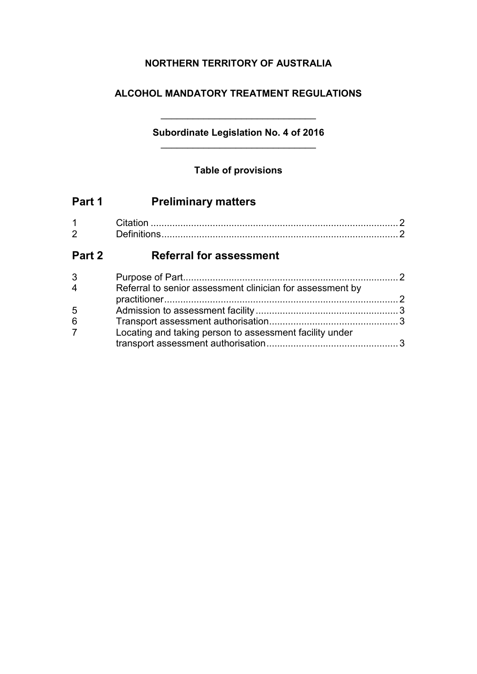## **NORTHERN TERRITORY OF AUSTRALIA**

### **ALCOHOL MANDATORY TREATMENT REGULATIONS**

# **Subordinate Legislation No. 4 of 2016**

\_\_\_\_\_\_\_\_\_\_\_\_\_\_\_\_\_\_\_\_\_\_\_\_\_\_\_\_\_

### **Table of provisions**

| <b>Preliminary matters</b>                                |                                                         |
|-----------------------------------------------------------|---------------------------------------------------------|
|                                                           | $\mathcal{P}$                                           |
| <b>Referral for assessment</b><br>Part 2                  |                                                         |
|                                                           | - 2                                                     |
| Referral to senior assessment clinician for assessment by | $\overline{2}$                                          |
|                                                           |                                                         |
|                                                           |                                                         |
|                                                           |                                                         |
|                                                           | Locating and taking person to assessment facility under |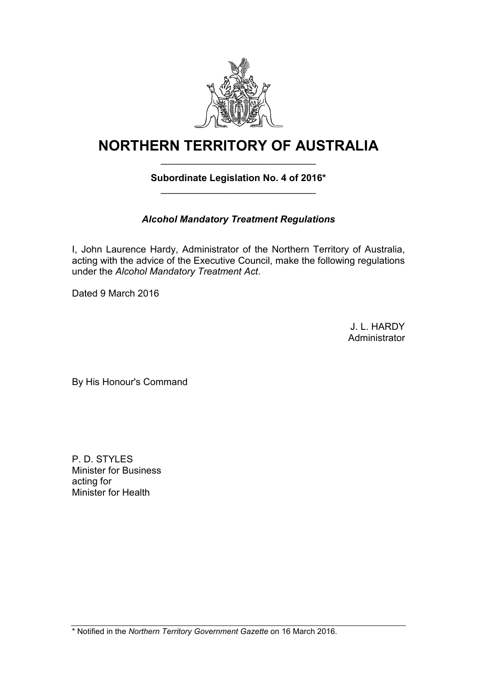

# **NORTHERN TERRITORY OF AUSTRALIA** \_\_\_\_\_\_\_\_\_\_\_\_\_\_\_\_\_\_\_\_\_\_\_\_\_\_\_\_\_

### **Subordinate Legislation No. 4 of 2016\*** \_\_\_\_\_\_\_\_\_\_\_\_\_\_\_\_\_\_\_\_\_\_\_\_\_\_\_\_\_

# *Alcohol Mandatory Treatment Regulations*

I, John Laurence Hardy, Administrator of the Northern Territory of Australia, acting with the advice of the Executive Council, make the following regulations under the *Alcohol Mandatory Treatment Act*.

Dated 9 March 2016

J. L. HARDY Administrator

By His Honour's Command

P. D. STYLES Minister for Business acting for Minister for Health

\* Notified in the *Northern Territory Government Gazette* on 16 March 2016.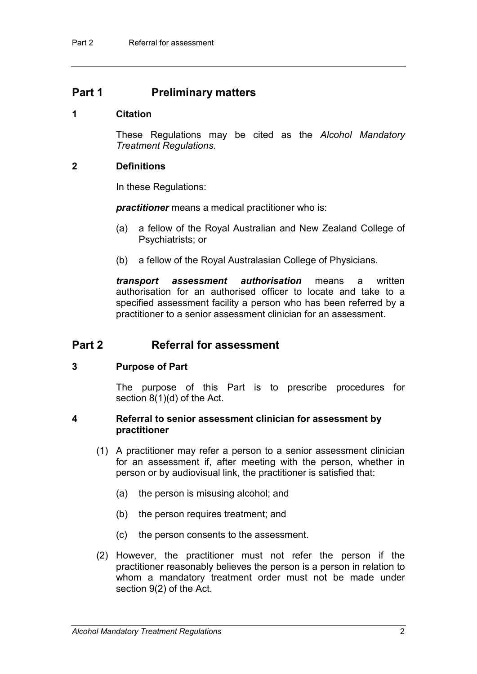### **Part 1 Preliminary matters**

#### **1 Citation**

These Regulations may be cited as the *Alcohol Mandatory Treatment Regulations*.

#### **2 Definitions**

In these Regulations:

*practitioner* means a medical practitioner who is:

- (a) a fellow of the Royal Australian and New Zealand College of Psychiatrists; or
- (b) a fellow of the Royal Australasian College of Physicians.

*transport assessment authorisation* means a written authorisation for an authorised officer to locate and take to a specified assessment facility a person who has been referred by a practitioner to a senior assessment clinician for an assessment.

### **Part 2 Referral for assessment**

#### **3 Purpose of Part**

The purpose of this Part is to prescribe procedures for section 8(1)(d) of the Act.

#### **4 Referral to senior assessment clinician for assessment by practitioner**

- (1) A practitioner may refer a person to a senior assessment clinician for an assessment if, after meeting with the person, whether in person or by audiovisual link, the practitioner is satisfied that:
	- (a) the person is misusing alcohol; and
	- (b) the person requires treatment; and
	- (c) the person consents to the assessment.
- (2) However, the practitioner must not refer the person if the practitioner reasonably believes the person is a person in relation to whom a mandatory treatment order must not be made under section 9(2) of the Act.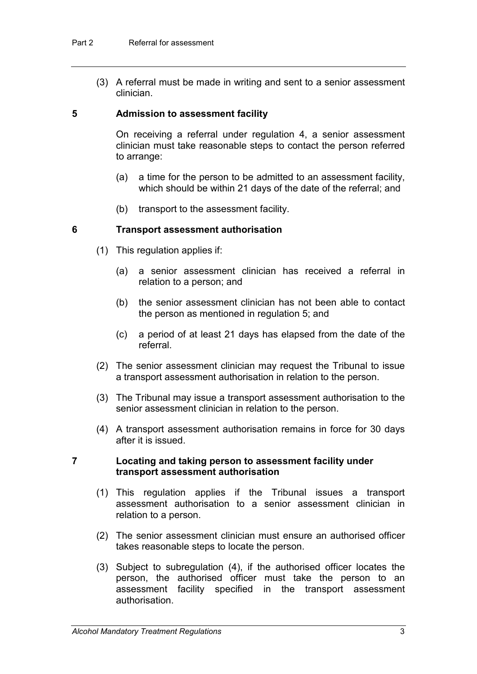(3) A referral must be made in writing and sent to a senior assessment clinician.

#### **5 Admission to assessment facility**

On receiving a referral under regulation 4, a senior assessment clinician must take reasonable steps to contact the person referred to arrange:

- (a) a time for the person to be admitted to an assessment facility, which should be within 21 days of the date of the referral; and
- (b) transport to the assessment facility.

#### **6 Transport assessment authorisation**

- (1) This regulation applies if:
	- (a) a senior assessment clinician has received a referral in relation to a person; and
	- (b) the senior assessment clinician has not been able to contact the person as mentioned in regulation 5; and
	- (c) a period of at least 21 days has elapsed from the date of the referral.
- (2) The senior assessment clinician may request the Tribunal to issue a transport assessment authorisation in relation to the person.
- (3) The Tribunal may issue a transport assessment authorisation to the senior assessment clinician in relation to the person.
- (4) A transport assessment authorisation remains in force for 30 days after it is issued.

#### **7 Locating and taking person to assessment facility under transport assessment authorisation**

- (1) This regulation applies if the Tribunal issues a transport assessment authorisation to a senior assessment clinician in relation to a person.
- (2) The senior assessment clinician must ensure an authorised officer takes reasonable steps to locate the person.
- (3) Subject to subregulation (4), if the authorised officer locates the person, the authorised officer must take the person to an assessment facility specified in the transport assessment authorisation.